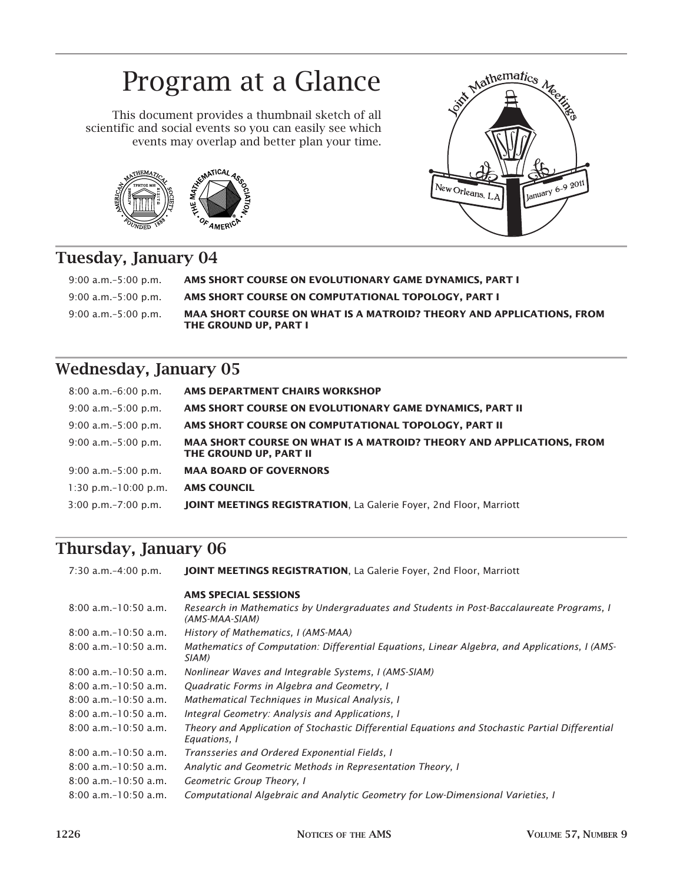# Program at a Glance

This document provides a thumbnail sketch of all scientific and social events so you can easily see which events may overlap and better plan your time.





## **Tuesday, January 04**

| $9:00$ a.m. $-5:00$ p.m. | AMS SHORT COURSE ON EVOLUTIONARY GAME DYNAMICS. PART I                                               |
|--------------------------|------------------------------------------------------------------------------------------------------|
| $9:00$ a.m. $-5:00$ p.m. | AMS SHORT COURSE ON COMPUTATIONAL TOPOLOGY, PART I                                                   |
| $9:00$ a.m. $-5:00$ p.m. | MAA SHORT COURSE ON WHAT IS A MATROID? THEORY AND APPLICATIONS. FROM<br><b>THE GROUND UP. PART I</b> |

## **Wednesday, January 05**

| $8:00$ a.m. $-6:00$ p.m.  | AMS DEPARTMENT CHAIRS WORKSHOP                                                                        |
|---------------------------|-------------------------------------------------------------------------------------------------------|
| $9:00$ a.m. $-5:00$ p.m.  | AMS SHORT COURSE ON EVOLUTIONARY GAME DYNAMICS, PART II                                               |
| $9:00$ a.m. $-5:00$ p.m.  | AMS SHORT COURSE ON COMPUTATIONAL TOPOLOGY, PART II                                                   |
| $9:00$ a.m. $-5:00$ p.m.  | <b>MAA SHORT COURSE ON WHAT IS A MATROID? THEORY AND APPLICATIONS, FROM</b><br>THE GROUND UP, PART II |
| $9:00$ a.m. $-5:00$ p.m.  | <b>MAA BOARD OF GOVERNORS</b>                                                                         |
| $1:30$ p.m. $-10:00$ p.m. | <b>AMS COUNCIL</b>                                                                                    |
| $3:00$ p.m. $-7:00$ p.m.  | <b>JOINT MEETINGS REGISTRATION, La Galerie Foyer, 2nd Floor, Marriott</b>                             |

## **Thursday, January 06**

| 7:30 a.m.-4:00 p.m.       | <b>JOINT MEETINGS REGISTRATION, La Galerie Foyer, 2nd Floor, Marriott</b>                                       |
|---------------------------|-----------------------------------------------------------------------------------------------------------------|
|                           | <b>AMS SPECIAL SESSIONS</b>                                                                                     |
| $8:00$ a.m. $-10:50$ a.m. | Research in Mathematics by Undergraduates and Students in Post-Baccalaureate Programs, I<br>(AMS-MAA-SIAM)      |
| $8:00$ a.m. $-10:50$ a.m. | History of Mathematics, I (AMS-MAA)                                                                             |
| $8:00$ a.m. $-10:50$ a.m. | Mathematics of Computation: Differential Equations, Linear Algebra, and Applications, I (AMS-<br>SIAM)          |
| $8:00$ a.m. $-10:50$ a.m. | Nonlinear Waves and Integrable Systems, I (AMS-SIAM)                                                            |
| $8:00$ a.m. $-10:50$ a.m. | Quadratic Forms in Algebra and Geometry, I                                                                      |
| $8:00$ a.m. $-10:50$ a.m. | Mathematical Techniques in Musical Analysis, I                                                                  |
| $8:00$ a.m. $-10:50$ a.m. | Integral Geometry: Analysis and Applications, I                                                                 |
| $8:00$ a.m. $-10:50$ a.m. | Theory and Application of Stochastic Differential Equations and Stochastic Partial Differential<br>Equations, 1 |
| $8:00$ a.m. $-10:50$ a.m. | Transseries and Ordered Exponential Fields, I                                                                   |
| $8:00$ a.m. $-10:50$ a.m. | Analytic and Geometric Methods in Representation Theory, I                                                      |
| $8:00$ a.m. $-10:50$ a.m. | Geometric Group Theory, I                                                                                       |
| $8:00$ a.m. $-10:50$ a.m. | Computational Algebraic and Analytic Geometry for Low-Dimensional Varieties, I                                  |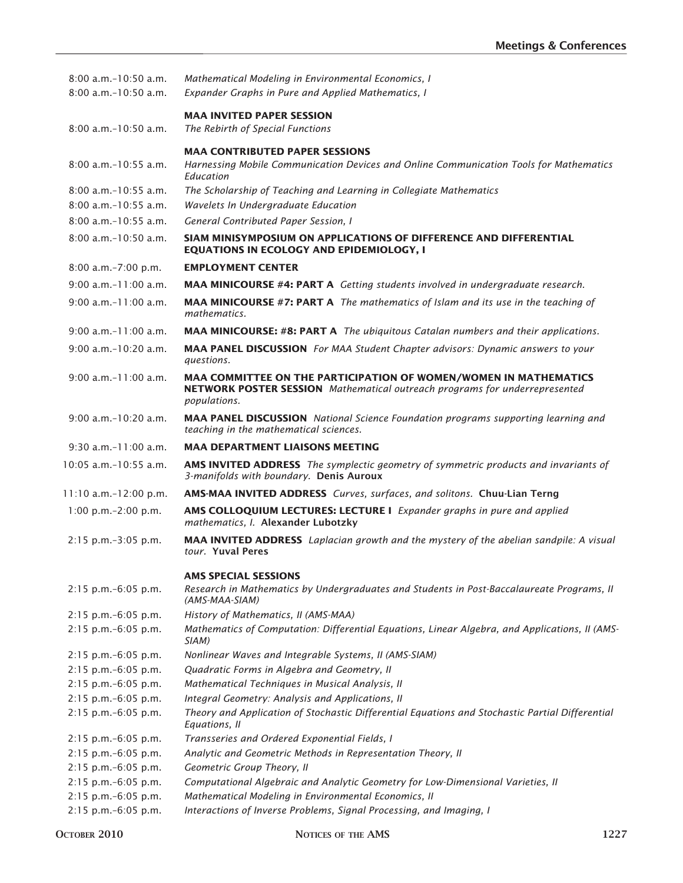| $8:00$ a.m. $-10:50$ a.m.<br>8:00 a.m. - 10:50 a.m. | Mathematical Modeling in Environmental Economics, I<br>Expander Graphs in Pure and Applied Mathematics, I                                                      |
|-----------------------------------------------------|----------------------------------------------------------------------------------------------------------------------------------------------------------------|
| $8:00$ a.m. $-10:50$ a.m.                           | <b>MAA INVITED PAPER SESSION</b><br>The Rebirth of Special Functions                                                                                           |
|                                                     | <b>MAA CONTRIBUTED PAPER SESSIONS</b>                                                                                                                          |
| $8:00$ a.m. $-10:55$ a.m.                           | Harnessing Mobile Communication Devices and Online Communication Tools for Mathematics<br>Education                                                            |
| $8:00$ a.m. $-10:55$ a.m.                           | The Scholarship of Teaching and Learning in Collegiate Mathematics                                                                                             |
| $8:00$ a.m. $-10:55$ a.m.                           | Wavelets In Undergraduate Education                                                                                                                            |
| $8:00$ a.m. $-10:55$ a.m.                           | General Contributed Paper Session, I                                                                                                                           |
| $8:00$ a.m. $-10:50$ a.m.                           | SIAM MINISYMPOSIUM ON APPLICATIONS OF DIFFERENCE AND DIFFERENTIAL<br><b>EQUATIONS IN ECOLOGY AND EPIDEMIOLOGY, I</b>                                           |
| 8:00 a.m.-7:00 p.m.                                 | <b>EMPLOYMENT CENTER</b>                                                                                                                                       |
| $9:00$ a.m. $-11:00$ a.m.                           | <b>MAA MINICOURSE #4: PART A</b> Getting students involved in undergraduate research.                                                                          |
| $9:00$ a.m. $-11:00$ a.m.                           | <b>MAA MINICOURSE #7: PART A</b> The mathematics of Islam and its use in the teaching of<br>mathematics.                                                       |
| $9:00$ a.m. $-11:00$ a.m.                           | <b>MAA MINICOURSE: #8: PART A</b> The ubiquitous Catalan numbers and their applications.                                                                       |
| $9:00$ a.m. $-10:20$ a.m.                           | MAA PANEL DISCUSSION For MAA Student Chapter advisors: Dynamic answers to your                                                                                 |
|                                                     | questions.                                                                                                                                                     |
| $9:00$ a.m. $-11:00$ a.m.                           | MAA COMMITTEE ON THE PARTICIPATION OF WOMEN/WOMEN IN MATHEMATICS<br>NETWORK POSTER SESSION Mathematical outreach programs for underrepresented<br>populations. |
| $9:00$ a.m. $-10:20$ a.m.                           | <b>MAA PANEL DISCUSSION</b> National Science Foundation programs supporting learning and<br>teaching in the mathematical sciences.                             |
| $9:30$ a.m. $-11:00$ a.m.                           | <b>MAA DEPARTMENT LIAISONS MEETING</b>                                                                                                                         |
| $10:05$ a.m. $-10:55$ a.m.                          | <b>AMS INVITED ADDRESS</b> The symplectic geometry of symmetric products and invariants of<br>3-manifolds with boundary. Denis Auroux                          |
| 11:10 a.m.-12:00 p.m.                               | AMS-MAA INVITED ADDRESS Curves, surfaces, and solitons. Chuu-Lian Terng                                                                                        |
| 1:00 p.m. $-2:00$ p.m.                              | AMS COLLOQUIUM LECTURES: LECTURE I Expander graphs in pure and applied<br>mathematics, I. Alexander Lubotzky                                                   |
| $2:15$ p.m. $-3:05$ p.m.                            | <b>MAA INVITED ADDRESS</b> Laplacian growth and the mystery of the abelian sandpile: A visual<br>tour. Yuval Peres                                             |
| 2:15 p.m.-6:05 p.m.                                 | <b>AMS SPECIAL SESSIONS</b><br>Research in Mathematics by Undergraduates and Students in Post-Baccalaureate Programs, II<br>(AMS-MAA-SIAM)                     |
| 2:15 p.m.-6:05 p.m.                                 | History of Mathematics, II (AMS-MAA)                                                                                                                           |
| 2:15 p.m.-6:05 p.m.                                 | Mathematics of Computation: Differential Equations, Linear Algebra, and Applications, II (AMS-<br>SIAM)                                                        |
| $2:15$ p.m. $-6:05$ p.m.                            | Nonlinear Waves and Integrable Systems, II (AMS-SIAM)                                                                                                          |
| $2:15$ p.m. $-6:05$ p.m.                            | Quadratic Forms in Algebra and Geometry, II                                                                                                                    |
| 2:15 p.m.-6:05 p.m.                                 | Mathematical Techniques in Musical Analysis, II                                                                                                                |
| 2:15 p.m.-6:05 p.m.                                 | Integral Geometry: Analysis and Applications, II                                                                                                               |
| 2:15 p.m.-6:05 p.m.                                 | Theory and Application of Stochastic Differential Equations and Stochastic Partial Differential<br>Equations, II                                               |
| 2:15 p.m.-6:05 p.m.                                 | Transseries and Ordered Exponential Fields, I                                                                                                                  |
| 2:15 p.m.-6:05 p.m.                                 | Analytic and Geometric Methods in Representation Theory, II                                                                                                    |
| 2:15 p.m.-6:05 p.m.                                 | Geometric Group Theory, II                                                                                                                                     |
| 2:15 p.m.-6:05 p.m.                                 | Computational Algebraic and Analytic Geometry for Low-Dimensional Varieties, II                                                                                |
| 2:15 p.m.-6:05 p.m.                                 | Mathematical Modeling in Environmental Economics, II                                                                                                           |
| 2:15 p.m.-6:05 p.m.                                 | Interactions of Inverse Problems, Signal Processing, and Imaging, I                                                                                            |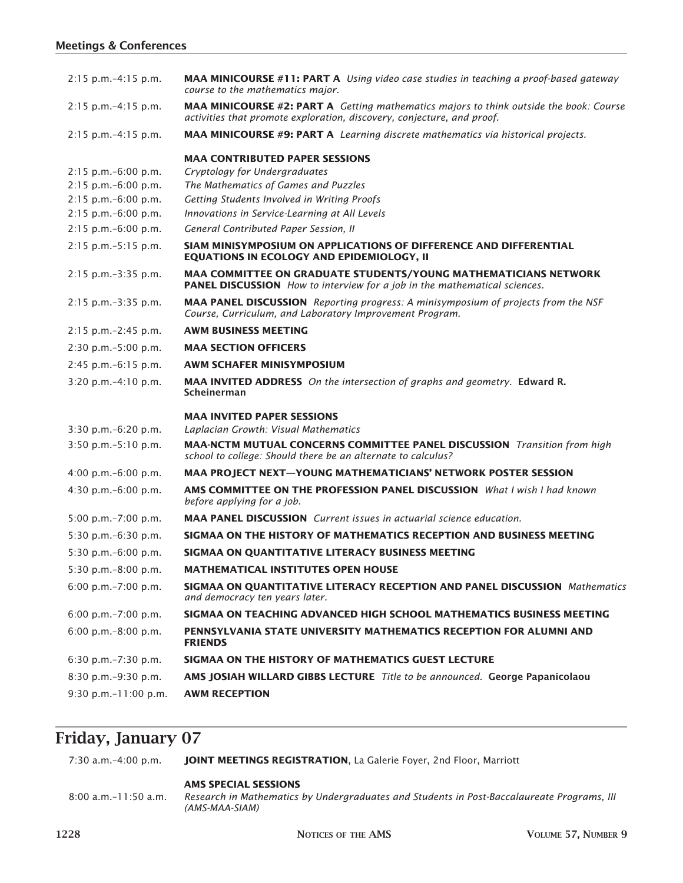### **Meetings & Conferences**

| $2:15$ p.m. $-4:15$ p.m.  | <b>MAA MINICOURSE #11: PART A</b> Using video case studies in teaching a proof-based gateway<br>course to the mathematics major.                                        |
|---------------------------|-------------------------------------------------------------------------------------------------------------------------------------------------------------------------|
| $2:15$ p.m. $-4:15$ p.m.  | <b>MAA MINICOURSE #2: PART A</b> Getting mathematics majors to think outside the book: Course<br>activities that promote exploration, discovery, conjecture, and proof. |
| $2:15$ p.m. $-4:15$ p.m.  | <b>MAA MINICOURSE #9: PART A</b> Learning discrete mathematics via historical projects.                                                                                 |
|                           | <b>MAA CONTRIBUTED PAPER SESSIONS</b>                                                                                                                                   |
| $2:15$ p.m. $-6:00$ p.m.  | Cryptology for Undergraduates                                                                                                                                           |
| $2:15$ p.m. $-6:00$ p.m.  | The Mathematics of Games and Puzzles                                                                                                                                    |
| $2:15$ p.m. $-6:00$ p.m.  | Getting Students Involved in Writing Proofs                                                                                                                             |
| $2:15$ p.m. $-6:00$ p.m.  | Innovations in Service-Learning at All Levels                                                                                                                           |
| $2:15$ p.m. $-6:00$ p.m.  | General Contributed Paper Session, II                                                                                                                                   |
| $2:15$ p.m. $-5:15$ p.m.  | SIAM MINISYMPOSIUM ON APPLICATIONS OF DIFFERENCE AND DIFFERENTIAL<br><b>EQUATIONS IN ECOLOGY AND EPIDEMIOLOGY, II</b>                                                   |
| 2:15 p.m.-3:35 p.m.       | MAA COMMITTEE ON GRADUATE STUDENTS/YOUNG MATHEMATICIANS NETWORK<br><b>PANEL DISCUSSION</b> How to interview for a job in the mathematical sciences.                     |
| $2:15$ p.m. $-3:35$ p.m.  | <b>MAA PANEL DISCUSSION</b> Reporting progress: A minisymposium of projects from the NSF<br>Course, Curriculum, and Laboratory Improvement Program.                     |
| $2:15$ p.m. $-2:45$ p.m.  | <b>AWM BUSINESS MEETING</b>                                                                                                                                             |
| $2:30$ p.m. $-5:00$ p.m.  | <b>MAA SECTION OFFICERS</b>                                                                                                                                             |
| $2:45$ p.m. $-6:15$ p.m.  | <b>AWM SCHAFER MINISYMPOSIUM</b>                                                                                                                                        |
| $3:20$ p.m. $-4:10$ p.m.  | <b>MAA INVITED ADDRESS</b> On the intersection of graphs and geometry. Edward R.<br>Scheinerman                                                                         |
|                           | <b>MAA INVITED PAPER SESSIONS</b>                                                                                                                                       |
| 3:30 p.m.-6:20 p.m.       | Laplacian Growth: Visual Mathematics                                                                                                                                    |
| 3:50 p.m.-5:10 p.m.       | <b>MAA-NCTM MUTUAL CONCERNS COMMITTEE PANEL DISCUSSION</b> Transition from high<br>school to college: Should there be an alternate to calculus?                         |
| 4:00 p.m. $-6:00$ p.m.    | <b>MAA PROJECT NEXT-YOUNG MATHEMATICIANS' NETWORK POSTER SESSION</b>                                                                                                    |
| 4:30 p.m. $-6:00$ p.m.    | AMS COMMITTEE ON THE PROFESSION PANEL DISCUSSION What I wish I had known<br>before applying for a job.                                                                  |
| 5:00 p.m. $-7:00$ p.m.    | <b>MAA PANEL DISCUSSION</b> Current issues in actuarial science education.                                                                                              |
| 5:30 p.m. $-6:30$ p.m.    | SIGMAA ON THE HISTORY OF MATHEMATICS RECEPTION AND BUSINESS MEETING                                                                                                     |
| 5:30 p.m. $-6:00$ p.m.    | SIGMAA ON QUANTITATIVE LITERACY BUSINESS MEETING                                                                                                                        |
| 5:30 p.m.-8:00 p.m.       | <b>MATHEMATICAL INSTITUTES OPEN HOUSE</b>                                                                                                                               |
| 6:00 p.m. $-7:00$ p.m.    | <b>SIGMAA ON QUANTITATIVE LITERACY RECEPTION AND PANEL DISCUSSION</b> Mathematics<br>and democracy ten years later.                                                     |
| 6:00 p.m. $-7:00$ p.m.    | SIGMAA ON TEACHING ADVANCED HIGH SCHOOL MATHEMATICS BUSINESS MEETING                                                                                                    |
| 6:00 p.m. $-8:00$ p.m.    | PENNSYLVANIA STATE UNIVERSITY MATHEMATICS RECEPTION FOR ALUMNI AND<br><b>FRIENDS</b>                                                                                    |
| 6:30 p.m. $-7:30$ p.m.    | SIGMAA ON THE HISTORY OF MATHEMATICS GUEST LECTURE                                                                                                                      |
| 8:30 p.m.-9:30 p.m.       | <b>AMS JOSIAH WILLARD GIBBS LECTURE</b> Title to be announced. George Papanicolaou                                                                                      |
| $9:30$ p.m. $-11:00$ p.m. | <b>AWM RECEPTION</b>                                                                                                                                                    |
|                           |                                                                                                                                                                         |

# **Friday, January 07**

| $7:30$ a.m. $-4:00$ p.m. | <b>JOINT MEETINGS REGISTRATION, La Galerie Foyer, 2nd Floor, Marriott</b>                                                                   |
|--------------------------|---------------------------------------------------------------------------------------------------------------------------------------------|
| 8:00 a.m.-11:50 a.m.     | <b>AMS SPECIAL SESSIONS</b><br>Research in Mathematics by Undergraduates and Students in Post-Baccalaureate Programs, III<br>(AMS-MAA-SIAM) |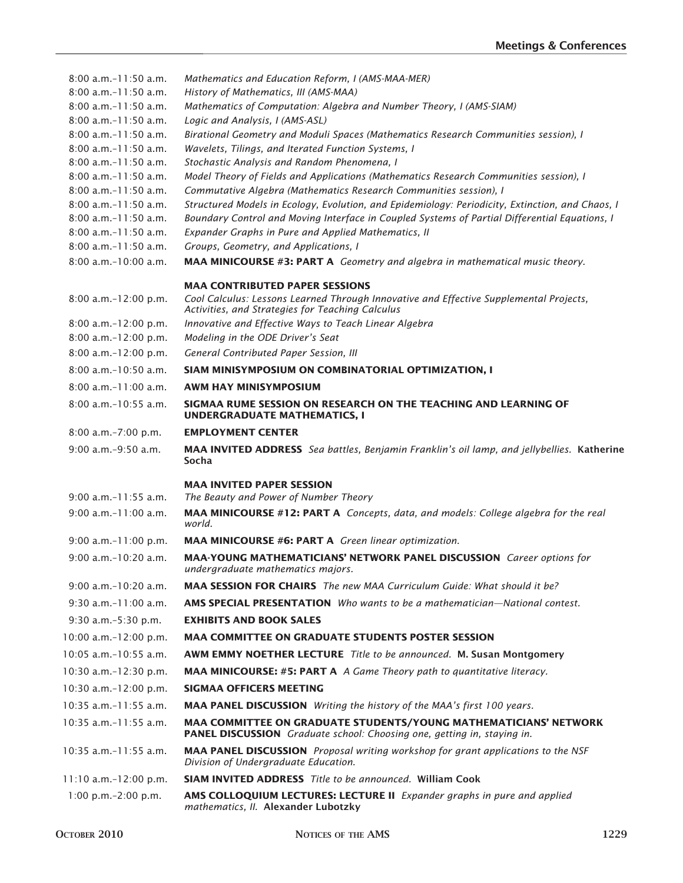| $8:00$ a.m. $-11:50$ a.m.                              | Mathematics and Education Reform, I (AMS-MAA-MER)                                                                                                          |
|--------------------------------------------------------|------------------------------------------------------------------------------------------------------------------------------------------------------------|
| $8:00$ a.m. $-11:50$ a.m.                              | History of Mathematics, III (AMS-MAA)                                                                                                                      |
| $8:00$ a.m. $-11:50$ a.m.                              | Mathematics of Computation: Algebra and Number Theory, I (AMS-SIAM)                                                                                        |
| $8:00$ a.m. $-11:50$ a.m.                              | Logic and Analysis, I (AMS-ASL)                                                                                                                            |
| $8:00$ a.m. $-11:50$ a.m.                              | Birational Geometry and Moduli Spaces (Mathematics Research Communities session), I                                                                        |
| $8:00$ a.m. $-11:50$ a.m.                              | Wavelets, Tilings, and Iterated Function Systems, I                                                                                                        |
| $8:00$ a.m. $-11:50$ a.m.<br>$8:00$ a.m. $-11:50$ a.m. | Stochastic Analysis and Random Phenomena, I                                                                                                                |
| $8:00$ a.m. $-11:50$ a.m.                              | Model Theory of Fields and Applications (Mathematics Research Communities session), I<br>Commutative Algebra (Mathematics Research Communities session), I |
| $8:00$ a.m. $-11:50$ a.m.                              | Structured Models in Ecology, Evolution, and Epidemiology: Periodicity, Extinction, and Chaos, I                                                           |
| $8:00$ a.m. $-11:50$ a.m.                              | Boundary Control and Moving Interface in Coupled Systems of Partial Differential Equations, I                                                              |
| $8:00$ a.m. $-11:50$ a.m.                              | Expander Graphs in Pure and Applied Mathematics, II                                                                                                        |
| $8:00$ a.m. $-11:50$ a.m.                              | Groups, Geometry, and Applications, I                                                                                                                      |
| $8:00$ a.m. $-10:00$ a.m.                              | <b>MAA MINICOURSE #3: PART A</b> Geometry and algebra in mathematical music theory.                                                                        |
|                                                        | <b>MAA CONTRIBUTED PAPER SESSIONS</b>                                                                                                                      |
| 8:00 a.m.-12:00 p.m.                                   | Cool Calculus: Lessons Learned Through Innovative and Effective Supplemental Projects,<br>Activities, and Strategies for Teaching Calculus                 |
| 8:00 a.m.-12:00 p.m.                                   | Innovative and Effective Ways to Teach Linear Algebra                                                                                                      |
| 8:00 a.m.-12:00 p.m.                                   | Modeling in the ODE Driver's Seat                                                                                                                          |
| 8:00 a.m.-12:00 p.m.                                   | General Contributed Paper Session, III                                                                                                                     |
| $8:00$ a.m. $-10:50$ a.m.                              | SIAM MINISYMPOSIUM ON COMBINATORIAL OPTIMIZATION, I                                                                                                        |
| $8:00$ a.m. $-11:00$ a.m.                              | <b>AWM HAY MINISYMPOSIUM</b>                                                                                                                               |
| $8:00$ a.m. $-10:55$ a.m.                              | SIGMAA RUME SESSION ON RESEARCH ON THE TEACHING AND LEARNING OF<br><b>UNDERGRADUATE MATHEMATICS, I</b>                                                     |
| 8:00 a.m.-7:00 p.m.                                    | <b>EMPLOYMENT CENTER</b>                                                                                                                                   |
| $9:00$ a.m. $-9:50$ a.m.                               | <b>MAA INVITED ADDRESS</b> Sea battles, Benjamin Franklin's oil lamp, and jellybellies. Katherine<br>Socha                                                 |
|                                                        | <b>MAA INVITED PAPER SESSION</b>                                                                                                                           |
| $9:00$ a.m. $-11:55$ a.m.                              | The Beauty and Power of Number Theory                                                                                                                      |
| $9:00$ a.m. $-11:00$ a.m.                              | MAA MINICOURSE #12: PART A Concepts, data, and models: College algebra for the real<br>world.                                                              |
| $9:00$ a.m. $-11:00$ p.m.                              | <b>MAA MINICOURSE #6: PART A</b> Green linear optimization.                                                                                                |
| 9:00 a.m.-10:20 a.m.                                   | <b>MAA-YOUNG MATHEMATICIANS' NETWORK PANEL DISCUSSION</b> Career options for<br>undergraduate mathematics majors.                                          |
| $9:00$ a.m. $-10:20$ a.m.                              | <b>MAA SESSION FOR CHAIRS</b> The new MAA Curriculum Guide: What should it be?                                                                             |
| $9:30$ a.m. $-11:00$ a.m.                              | <b>AMS SPECIAL PRESENTATION</b> Who wants to be a mathematician—National contest.                                                                          |
| 9:30 a.m.-5:30 p.m.                                    | <b>EXHIBITS AND BOOK SALES</b>                                                                                                                             |
| 10:00 a.m.-12:00 p.m.                                  | <b>MAA COMMITTEE ON GRADUATE STUDENTS POSTER SESSION</b>                                                                                                   |
| $10:05$ a.m. $-10:55$ a.m.                             | <b>AWM EMMY NOETHER LECTURE</b> Title to be announced. M. Susan Montgomery                                                                                 |
| 10:30 a.m.-12:30 p.m.                                  | <b>MAA MINICOURSE: #5: PART A</b> A Game Theory path to quantitative literacy.                                                                             |
|                                                        |                                                                                                                                                            |
| 10:30 a.m.-12:00 p.m.                                  | <b>SIGMAA OFFICERS MEETING</b>                                                                                                                             |
| $10:35$ a.m.-11:55 a.m.                                | MAA PANEL DISCUSSION Writing the history of the MAA's first 100 years.                                                                                     |
| $10:35$ a.m. $-11:55$ a.m.                             | <b>MAA COMMITTEE ON GRADUATE STUDENTS/YOUNG MATHEMATICIANS' NETWORK</b><br>PANEL DISCUSSION Graduate school: Choosing one, getting in, staying in.         |
| $10:35$ a.m. $-11:55$ a.m.                             | <b>MAA PANEL DISCUSSION</b> Proposal writing workshop for grant applications to the NSF<br>Division of Undergraduate Education.                            |
| 11:10 a.m.-12:00 p.m.                                  | <b>SIAM INVITED ADDRESS</b> Title to be announced. William Cook                                                                                            |
| $1:00$ p.m. $-2:00$ p.m.                               | AMS COLLOQUIUM LECTURES: LECTURE II Expander graphs in pure and applied<br>mathematics, II. Alexander Lubotzky                                             |
|                                                        |                                                                                                                                                            |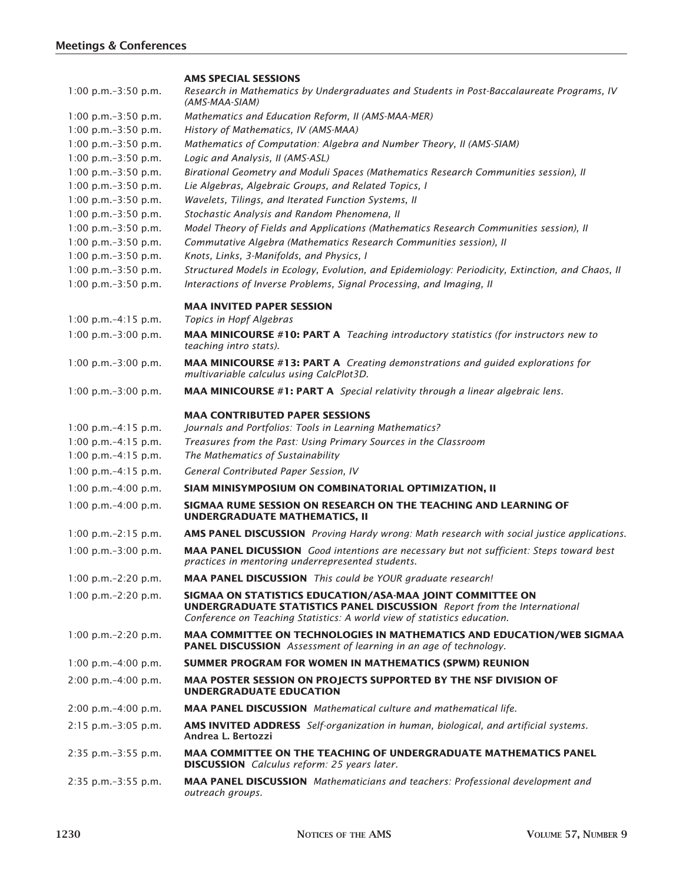#### **AMS SPECIAL SESSIONS**

| $1:00$ p.m. $-3:50$ p.m. | Research in Mathematics by Undergraduates and Students in Post-Baccalaureate Programs, IV<br>(AMS-MAA-SIAM)                                                                                                             |
|--------------------------|-------------------------------------------------------------------------------------------------------------------------------------------------------------------------------------------------------------------------|
| $1:00$ p.m. $-3:50$ p.m. | Mathematics and Education Reform, II (AMS-MAA-MER)                                                                                                                                                                      |
| 1:00 p.m.-3:50 p.m.      | History of Mathematics, IV (AMS-MAA)                                                                                                                                                                                    |
| $1:00$ p.m. $-3:50$ p.m. | Mathematics of Computation: Algebra and Number Theory, II (AMS-SIAM)                                                                                                                                                    |
| 1:00 p.m.-3:50 p.m.      | Logic and Analysis, II (AMS-ASL)                                                                                                                                                                                        |
| $1:00$ p.m. $-3:50$ p.m. | Birational Geometry and Moduli Spaces (Mathematics Research Communities session), II                                                                                                                                    |
| 1:00 p.m.-3:50 p.m.      | Lie Algebras, Algebraic Groups, and Related Topics, I                                                                                                                                                                   |
| 1:00 p.m. $-3:50$ p.m.   | Wavelets, Tilings, and Iterated Function Systems, II                                                                                                                                                                    |
| 1:00 p.m.-3:50 p.m.      | Stochastic Analysis and Random Phenomena, II                                                                                                                                                                            |
| $1:00$ p.m. $-3:50$ p.m. | Model Theory of Fields and Applications (Mathematics Research Communities session), II                                                                                                                                  |
| 1:00 p.m.-3:50 p.m.      | Commutative Algebra (Mathematics Research Communities session), II                                                                                                                                                      |
| $1:00$ p.m. $-3:50$ p.m. | Knots, Links, 3-Manifolds, and Physics, I                                                                                                                                                                               |
| 1:00 p.m.-3:50 p.m.      | Structured Models in Ecology, Evolution, and Epidemiology: Periodicity, Extinction, and Chaos, II                                                                                                                       |
| 1:00 p.m.-3:50 p.m.      | Interactions of Inverse Problems, Signal Processing, and Imaging, II                                                                                                                                                    |
|                          | <b>MAA INVITED PAPER SESSION</b>                                                                                                                                                                                        |
| 1:00 p.m.-4:15 p.m.      | Topics in Hopf Algebras                                                                                                                                                                                                 |
| $1:00$ p.m. $-3:00$ p.m. | <b>MAA MINICOURSE #10: PART A</b> Teaching introductory statistics (for instructors new to<br>teaching intro stats).                                                                                                    |
| 1:00 p.m. $-3:00$ p.m.   | <b>MAA MINICOURSE #13: PART A</b> Creating demonstrations and guided explorations for<br>multivariable calculus using CalcPlot3D.                                                                                       |
| 1:00 p.m. $-3:00$ p.m.   | <b>MAA MINICOURSE</b> #1: PART A Special relativity through a linear algebraic lens.                                                                                                                                    |
|                          | <b>MAA CONTRIBUTED PAPER SESSIONS</b>                                                                                                                                                                                   |
| $1:00$ p.m. $-4:15$ p.m. | Journals and Portfolios: Tools in Learning Mathematics?                                                                                                                                                                 |
| $1:00$ p.m. $-4:15$ p.m. | Treasures from the Past: Using Primary Sources in the Classroom                                                                                                                                                         |
| $1:00$ p.m. $-4:15$ p.m. | The Mathematics of Sustainability                                                                                                                                                                                       |
| $1:00$ p.m. $-4:15$ p.m. | General Contributed Paper Session, IV                                                                                                                                                                                   |
| 1:00 p.m. $-4:00$ p.m.   | SIAM MINISYMPOSIUM ON COMBINATORIAL OPTIMIZATION, II                                                                                                                                                                    |
| 1:00 p.m. $-4:00$ p.m.   | SIGMAA RUME SESSION ON RESEARCH ON THE TEACHING AND LEARNING OF<br><b>UNDERGRADUATE MATHEMATICS, II</b>                                                                                                                 |
| 1:00 p.m.-2:15 p.m.      | AMS PANEL DISCUSSION Proving Hardy wrong: Math research with social justice applications.                                                                                                                               |
| $1:00$ p.m. $-3:00$ p.m. | MAA PANEL DICUSSION Good intentions are necessary but not sufficient: Steps toward best<br>practices in mentoring underrepresented students.                                                                            |
| 1:00 p.m. $-2:20$ p.m.   | <b>MAA PANEL DISCUSSION</b> This could be YOUR graduate research!                                                                                                                                                       |
| 1:00 p.m. $-2:20$ p.m.   | SIGMAA ON STATISTICS EDUCATION/ASA-MAA JOINT COMMITTEE ON<br><b>UNDERGRADUATE STATISTICS PANEL DISCUSSION</b> Report from the International<br>Conference on Teaching Statistics: A world view of statistics education. |
| 1:00 p.m. $-2:20$ p.m.   | MAA COMMITTEE ON TECHNOLOGIES IN MATHEMATICS AND EDUCATION/WEB SIGMAA<br><b>PANEL DISCUSSION</b> Assessment of learning in an age of technology.                                                                        |
| 1:00 p.m. $-4:00$ p.m.   | SUMMER PROGRAM FOR WOMEN IN MATHEMATICS (SPWM) REUNION                                                                                                                                                                  |
| $2:00$ p.m. $-4:00$ p.m. | <b>MAA POSTER SESSION ON PROJECTS SUPPORTED BY THE NSF DIVISION OF</b><br><b>UNDERGRADUATE EDUCATION</b>                                                                                                                |
| $2:00$ p.m. $-4:00$ p.m. | <b>MAA PANEL DISCUSSION</b> Mathematical culture and mathematical life.                                                                                                                                                 |
| $2:15$ p.m. $-3:05$ p.m. | <b>AMS INVITED ADDRESS</b> Self-organization in human, biological, and artificial systems.<br>Andrea L. Bertozzi                                                                                                        |
| 2:35 p.m.-3:55 p.m.      | <b>MAA COMMITTEE ON THE TEACHING OF UNDERGRADUATE MATHEMATICS PANEL</b><br><b>DISCUSSION</b> Calculus reform: 25 years later.                                                                                           |
| 2:35 p.m.-3:55 p.m.      | <b>MAA PANEL DISCUSSION</b> Mathematicians and teachers: Professional development and<br>outreach groups.                                                                                                               |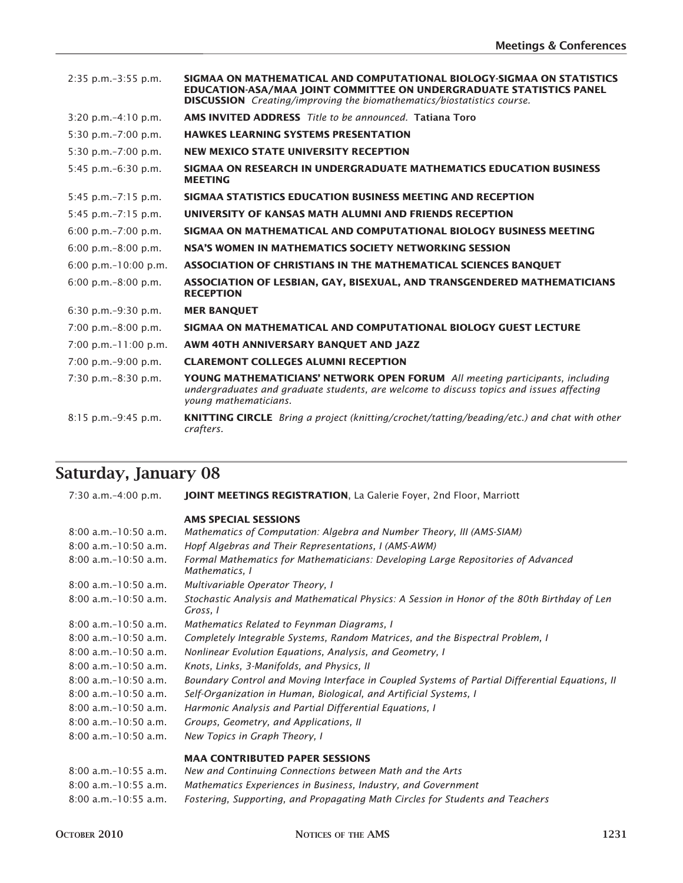| $2:35$ p.m. $-3:55$ p.m.                | SIGMAA ON MATHEMATICAL AND COMPUTATIONAL BIOLOGY-SIGMAA ON STATISTICS<br><b>EDUCATION-ASA/MAA JOINT COMMITTEE ON UNDERGRADUATE STATISTICS PANEL</b><br><b>DISCUSSION</b> Creating/improving the biomathematics/biostatistics course. |
|-----------------------------------------|--------------------------------------------------------------------------------------------------------------------------------------------------------------------------------------------------------------------------------------|
| $3:20$ p.m. $-4:10$ p.m.                | <b>AMS INVITED ADDRESS</b> Title to be announced. Tatiana Toro                                                                                                                                                                       |
| $5:30$ p.m. $-7:00$ p.m.                | <b>HAWKES LEARNING SYSTEMS PRESENTATION</b>                                                                                                                                                                                          |
| $5:30$ p.m. $-7:00$ p.m.                | <b>NEW MEXICO STATE UNIVERSITY RECEPTION</b>                                                                                                                                                                                         |
| 5:45 p.m.-6:30 p.m.                     | SIGMAA ON RESEARCH IN UNDERGRADUATE MATHEMATICS EDUCATION BUSINESS<br><b>MEETING</b>                                                                                                                                                 |
| $5:45$ p.m. $-7:15$ p.m.                | SIGMAA STATISTICS EDUCATION BUSINESS MEETING AND RECEPTION                                                                                                                                                                           |
| $5:45$ p.m. $-7:15$ p.m.                | UNIVERSITY OF KANSAS MATH ALUMNI AND FRIENDS RECEPTION                                                                                                                                                                               |
| $6:00$ p.m. $-7:00$ p.m.                | SIGMAA ON MATHEMATICAL AND COMPUTATIONAL BIOLOGY BUSINESS MEETING                                                                                                                                                                    |
| 6:00 p.m. $-8:00$ p.m.                  | NSA'S WOMEN IN MATHEMATICS SOCIETY NETWORKING SESSION                                                                                                                                                                                |
| $6:00$ p.m. $-10:00$ p.m.               | ASSOCIATION OF CHRISTIANS IN THE MATHEMATICAL SCIENCES BANOUET                                                                                                                                                                       |
| $6:00 \text{ p.m.} - 8:00 \text{ p.m.}$ | ASSOCIATION OF LESBIAN, GAY, BISEXUAL, AND TRANSGENDERED MATHEMATICIANS<br><b>RECEPTION</b>                                                                                                                                          |
| $6:30$ p.m. $-9:30$ p.m.                | <b>MER BANQUET</b>                                                                                                                                                                                                                   |
| $7:00$ p.m. $-8:00$ p.m.                | SIGMAA ON MATHEMATICAL AND COMPUTATIONAL BIOLOGY GUEST LECTURE                                                                                                                                                                       |
| $7:00$ p.m. $-11:00$ p.m.               | AWM 40TH ANNIVERSARY BANQUET AND JAZZ                                                                                                                                                                                                |
| $7:00$ p.m. $-9:00$ p.m.                | <b>CLAREMONT COLLEGES ALUMNI RECEPTION</b>                                                                                                                                                                                           |
| $7:30$ p.m. $-8:30$ p.m.                | <b>YOUNG MATHEMATICIANS' NETWORK OPEN FORUM</b> All meeting participants, including<br>undergraduates and graduate students, are welcome to discuss topics and issues affecting<br>young mathematicians.                             |
| $8:15$ p.m. $-9:45$ p.m.                | <b>KNITTING CIRCLE</b> Bring a project (knitting/crochet/tatting/beading/etc.) and chat with other<br>crafters.                                                                                                                      |
|                                         |                                                                                                                                                                                                                                      |

### **Saturday, January 08**

 7:30 a.m.– 4:00 p.m. **JOINT MEETINGS REGISTRATION**, La Galerie Foyer, 2nd Floor, Marriott **AMS SPECIAL SESSIONS** 8:00 a.m.– 10:50 a.m. *Mathematics of Computation: Algebra and Number Theory, III (AMS-SIAM)* 8:00 a.m.– 10:50 a.m. *Hopf Algebras and Their Representations, I (AMS-AWM)* 8:00 a.m.– 10:50 a.m. *Formal Mathematics for Mathematicians: Developing Large Repositories of Advanced Mathematics, I* 8:00 a.m.– 10:50 a.m. *Multivariable Operator Theory, I* 8:00 a.m.– 10:50 a.m. *Stochastic Analysis and Mathematical Physics: A Session in Honor of the 80th Birthday of Len Gross, I* 8:00 a.m.– 10:50 a.m. *Mathematics Related to Feynman Diagrams, I* 8:00 a.m.– 10:50 a.m. *Completely Integrable Systems, Random Matrices, and the Bispectral Problem, I* 8:00 a.m.– 10:50 a.m. *Nonlinear Evolution Equations, Analysis, and Geometry, I* 8:00 a.m.– 10:50 a.m. *Knots, Links, 3-Manifolds, and Physics, II* 8:00 a.m.– 10:50 a.m. *Boundary Control and Moving Interface in Coupled Systems of Partial Differential Equations, II* 8:00 a.m.– 10:50 a.m. *Self-Organization in Human, Biological, and Artificial Systems, I* 8:00 a.m.– 10:50 a.m. *Harmonic Analysis and Partial Differential Equations, I* 8:00 a.m.– 10:50 a.m. *Groups, Geometry, and Applications, II* 8:00 a.m.– 10:50 a.m. *New Topics in Graph Theory, I* **MAA CONTRIBUTED PAPER SESSIONS** 8:00 a.m.– 10:55 a.m. *New and Continuing Connections between Math and the Arts*

| $0.00 d$ . $111 - 10.33 d$ . $111 - 11$ | Them and Continuing Connections between main and the Arts                     |
|-----------------------------------------|-------------------------------------------------------------------------------|
| $8:00$ a.m.-10:55 a.m.                  | Mathematics Experiences in Business, Industry, and Government                 |
| $8:00$ a.m.-10:55 a.m.                  | Fostering, Supporting, and Propagating Math Circles for Students and Teachers |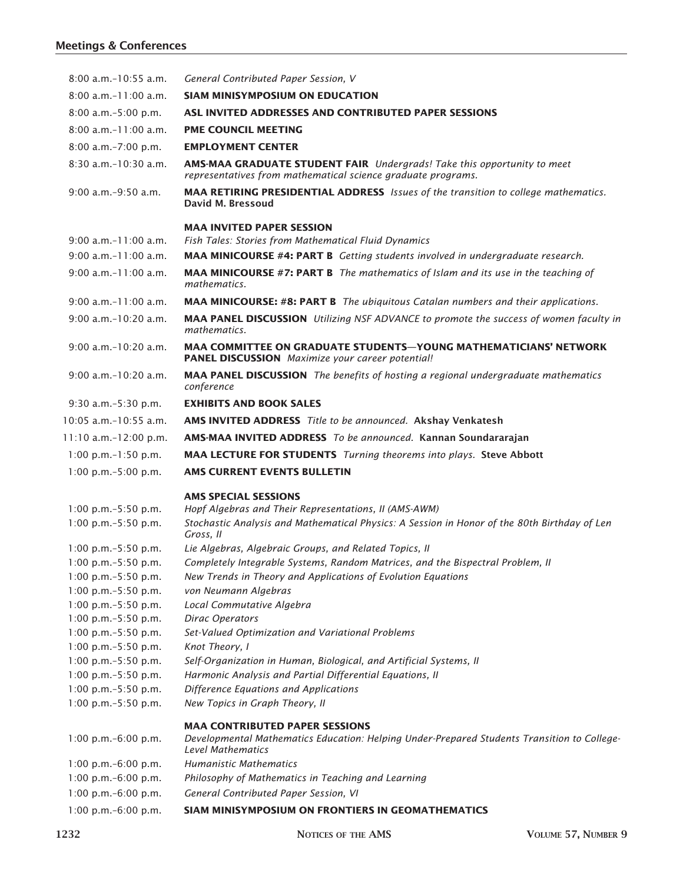### **Meetings & Conferences**

| $8:00$ a.m. $-10:55$ a.m.                       | General Contributed Paper Session, V                                                                                                                             |
|-------------------------------------------------|------------------------------------------------------------------------------------------------------------------------------------------------------------------|
| $8:00$ a.m. $-11:00$ a.m.                       | <b>SIAM MINISYMPOSIUM ON EDUCATION</b>                                                                                                                           |
| $8:00$ a.m. $-5:00$ p.m.                        | ASL INVITED ADDRESSES AND CONTRIBUTED PAPER SESSIONS                                                                                                             |
| $8:00$ a.m. $-11:00$ a.m.                       | <b>PME COUNCIL MEETING</b>                                                                                                                                       |
| $8:00$ a.m. $-7:00$ p.m.                        | <b>EMPLOYMENT CENTER</b>                                                                                                                                         |
| $8:30$ a.m. $-10:30$ a.m.                       | AMS-MAA GRADUATE STUDENT FAIR Undergrads! Take this opportunity to meet<br>representatives from mathematical science graduate programs.                          |
| $9:00$ a.m. $-9:50$ a.m.                        | <b>MAA RETIRING PRESIDENTIAL ADDRESS</b> Issues of the transition to college mathematics.<br>David M. Bressoud                                                   |
|                                                 | <b>MAA INVITED PAPER SESSION</b>                                                                                                                                 |
| $9:00$ a.m. $-11:00$ a.m.                       | <b>Fish Tales: Stories from Mathematical Fluid Dynamics</b>                                                                                                      |
| $9:00$ a.m. $-11:00$ a.m.                       | MAA MINICOURSE #4: PART B Getting students involved in undergraduate research.                                                                                   |
| $9:00$ a.m. $-11:00$ a.m.                       | <b>MAA MINICOURSE #7: PART B</b> The mathematics of Islam and its use in the teaching of<br>mathematics.                                                         |
| $9:00$ a.m. $-11:00$ a.m.                       | <b>MAA MINICOURSE: #8: PART B</b> The ubiquitous Catalan numbers and their applications.                                                                         |
| $9:00$ a.m. $-10:20$ a.m.                       | MAA PANEL DISCUSSION Utilizing NSF ADVANCE to promote the success of women faculty in<br>mathematics.                                                            |
| $9:00$ a.m. $-10:20$ a.m.                       | <b>MAA COMMITTEE ON GRADUATE STUDENTS-YOUNG MATHEMATICIANS' NETWORK</b><br>PANEL DISCUSSION Maximize your career potential!                                      |
| $9:00$ a.m. $-10:20$ a.m.                       | <b>MAA PANEL DISCUSSION</b> The benefits of hosting a regional undergraduate mathematics<br>conference                                                           |
| $9:30$ a.m. $-5:30$ p.m.                        | <b>EXHIBITS AND BOOK SALES</b>                                                                                                                                   |
| $10:05$ a.m. $-10:55$ a.m.                      | AMS INVITED ADDRESS Title to be announced. Akshay Venkatesh                                                                                                      |
| $11:10$ a.m.-12:00 p.m.                         | AMS-MAA INVITED ADDRESS To be announced. Kannan Soundararajan                                                                                                    |
| 1:00 p.m.-1:50 p.m.                             | <b>MAA LECTURE FOR STUDENTS</b> Turning theorems into plays. Steve Abbott                                                                                        |
| $1:00$ p.m. $-5:00$ p.m.                        | <b>AMS CURRENT EVENTS BULLETIN</b>                                                                                                                               |
|                                                 |                                                                                                                                                                  |
|                                                 | <b>AMS SPECIAL SESSIONS</b>                                                                                                                                      |
| $1:00$ p.m. $-5:50$ p.m.<br>1:00 p.m.-5:50 p.m. | Hopf Algebras and Their Representations, II (AMS-AWM)<br>Stochastic Analysis and Mathematical Physics: A Session in Honor of the 80th Birthday of Len            |
|                                                 | Gross, II                                                                                                                                                        |
| 1:00 p.m.-5:50 p.m.                             | Lie Algebras, Algebraic Groups, and Related Topics, II                                                                                                           |
| 1:00 p.m.-5:50 p.m.                             | Completely Integrable Systems, Random Matrices, and the Bispectral Problem, II                                                                                   |
| 1:00 p.m.-5:50 p.m.                             | New Trends in Theory and Applications of Evolution Equations                                                                                                     |
| 1:00 p.m.-5:50 p.m.                             | von Neumann Algebras                                                                                                                                             |
| 1:00 p.m.-5:50 p.m.                             | Local Commutative Algebra                                                                                                                                        |
| 1:00 p.m.-5:50 p.m.                             | Dirac Operators                                                                                                                                                  |
| 1:00 p.m.-5:50 p.m.                             | Set-Valued Optimization and Variational Problems                                                                                                                 |
| 1:00 p.m. $-5:50$ p.m.                          | Knot Theory, I                                                                                                                                                   |
| 1:00 p.m.-5:50 p.m.                             | Self-Organization in Human, Biological, and Artificial Systems, II                                                                                               |
| 1:00 p.m. $-5:50$ p.m.                          | Harmonic Analysis and Partial Differential Equations, II                                                                                                         |
| 1:00 p.m. $-5:50$ p.m.                          | Difference Equations and Applications                                                                                                                            |
| 1:00 p.m.-5:50 p.m.                             | New Topics in Graph Theory, II                                                                                                                                   |
| 1:00 p.m.-6:00 p.m.                             | <b>MAA CONTRIBUTED PAPER SESSIONS</b><br>Developmental Mathematics Education: Helping Under-Prepared Students Transition to College-<br><b>Level Mathematics</b> |
| 1:00 p.m.-6:00 p.m.                             | <b>Humanistic Mathematics</b>                                                                                                                                    |
| 1:00 p.m.-6:00 p.m.                             | Philosophy of Mathematics in Teaching and Learning                                                                                                               |
| 1:00 p.m.-6:00 p.m.                             | General Contributed Paper Session, VI                                                                                                                            |
|                                                 |                                                                                                                                                                  |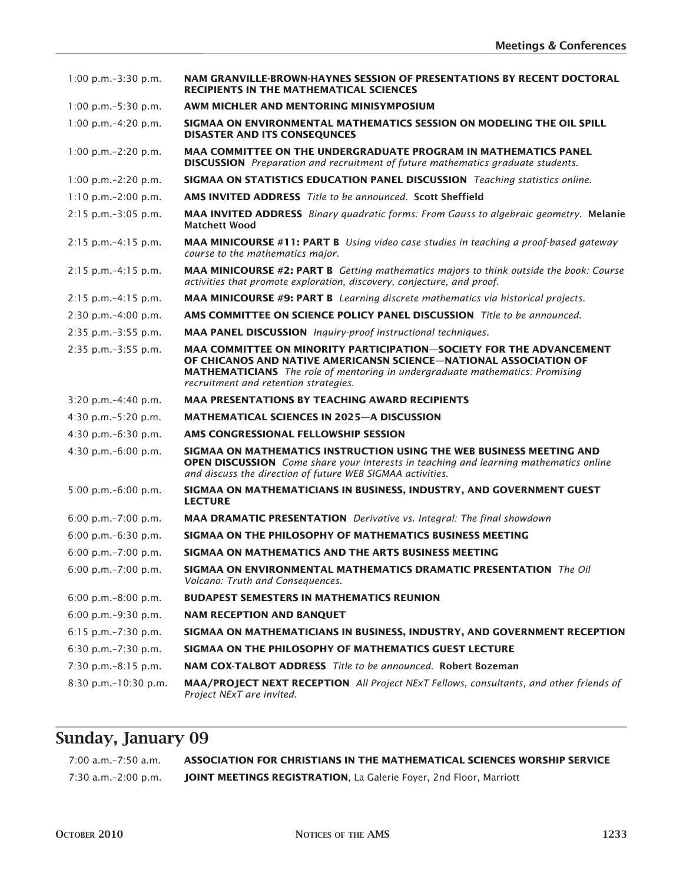| $1:00$ p.m. $-3:30$ p.m.  | NAM GRANVILLE-BROWN-HAYNES SESSION OF PRESENTATIONS BY RECENT DOCTORAL<br><b>RECIPIENTS IN THE MATHEMATICAL SCIENCES</b>                                                                                                                                                 |
|---------------------------|--------------------------------------------------------------------------------------------------------------------------------------------------------------------------------------------------------------------------------------------------------------------------|
| $1:00$ p.m. $-5:30$ p.m.  | AWM MICHLER AND MENTORING MINISYMPOSIUM                                                                                                                                                                                                                                  |
| 1:00 p.m. $-4:20$ p.m.    | SIGMAA ON ENVIRONMENTAL MATHEMATICS SESSION ON MODELING THE OIL SPILL<br><b>DISASTER AND ITS CONSEOUNCES</b>                                                                                                                                                             |
| 1:00 p.m. $-2:20$ p.m.    | <b>MAA COMMITTEE ON THE UNDERGRADUATE PROGRAM IN MATHEMATICS PANEL</b><br><b>DISCUSSION</b> Preparation and recruitment of future mathematics graduate students.                                                                                                         |
| 1:00 p.m. $-2:20$ p.m.    | <b>SIGMAA ON STATISTICS EDUCATION PANEL DISCUSSION</b> Teaching statistics online.                                                                                                                                                                                       |
| $1:10$ p.m. $-2:00$ p.m.  | <b>AMS INVITED ADDRESS</b> Title to be announced. Scott Sheffield                                                                                                                                                                                                        |
| $2:15$ p.m. $-3:05$ p.m.  | <b>MAA INVITED ADDRESS</b> Binary quadratic forms: From Gauss to algebraic geometry. Melanie<br><b>Matchett Wood</b>                                                                                                                                                     |
| $2:15$ p.m. $-4:15$ p.m.  | <b>MAA MINICOURSE #11: PART B</b> Using video case studies in teaching a proof-based gateway<br>course to the mathematics major.                                                                                                                                         |
| $2:15$ p.m. $-4:15$ p.m.  | <b>MAA MINICOURSE #2: PART B</b> Getting mathematics majors to think outside the book: Course<br>activities that promote exploration, discovery, conjecture, and proof.                                                                                                  |
| $2:15$ p.m. $-4:15$ p.m.  | <b>MAA MINICOURSE #9: PART B</b> Learning discrete mathematics via historical projects.                                                                                                                                                                                  |
| $2:30$ p.m. $-4:00$ p.m.  | <b>AMS COMMITTEE ON SCIENCE POLICY PANEL DISCUSSION</b> Title to be announced.                                                                                                                                                                                           |
| 2:35 p.m.-3:55 p.m.       | <b>MAA PANEL DISCUSSION</b> Inquiry-proof instructional techniques.                                                                                                                                                                                                      |
| 2:35 p.m.-3:55 p.m.       | MAA COMMITTEE ON MINORITY PARTICIPATION-SOCIETY FOR THE ADVANCEMENT<br>OF CHICANOS AND NATIVE AMERICANSN SCIENCE-NATIONAL ASSOCIATION OF<br><b>MATHEMATICIANS</b> The role of mentoring in undergraduate mathematics: Promising<br>recruitment and retention strategies. |
| $3:20$ p.m. $-4:40$ p.m.  | <b>MAA PRESENTATIONS BY TEACHING AWARD RECIPIENTS</b>                                                                                                                                                                                                                    |
| 4:30 p.m. $-5:20$ p.m.    | <b>MATHEMATICAL SCIENCES IN 2025-A DISCUSSION</b>                                                                                                                                                                                                                        |
| 4:30 p.m. $-6:30$ p.m.    | AMS CONGRESSIONAL FELLOWSHIP SESSION                                                                                                                                                                                                                                     |
| 4:30 p.m. $-6:00$ p.m.    | SIGMAA ON MATHEMATICS INSTRUCTION USING THE WEB BUSINESS MEETING AND<br><b>OPEN DISCUSSION</b> Come share your interests in teaching and learning mathematics online<br>and discuss the direction of future WEB SIGMAA activities.                                       |
| $5:00$ p.m. $-6:00$ p.m.  | SIGMAA ON MATHEMATICIANS IN BUSINESS, INDUSTRY, AND GOVERNMENT GUEST<br><b>LECTURE</b>                                                                                                                                                                                   |
| $6:00$ p.m. $-7:00$ p.m.  | <b>MAA DRAMATIC PRESENTATION</b> Derivative vs. Integral: The final showdown                                                                                                                                                                                             |
| $6:00$ p.m. $-6:30$ p.m.  | SIGMAA ON THE PHILOSOPHY OF MATHEMATICS BUSINESS MEETING                                                                                                                                                                                                                 |
| $6:00$ p.m. $-7:00$ p.m.  | SIGMAA ON MATHEMATICS AND THE ARTS BUSINESS MEETING                                                                                                                                                                                                                      |
| 6:00 p.m.-7:00 p.m.       | SIGMAA ON ENVIRONMENTAL MATHEMATICS DRAMATIC PRESENTATION The Oil<br>Volcano: Truth and Consequences.                                                                                                                                                                    |
| $6:00$ p.m. $-8:00$ p.m.  | <b>BUDAPEST SEMESTERS IN MATHEMATICS REUNION</b>                                                                                                                                                                                                                         |
| 6:00 p.m. $-9:30$ p.m.    | <b>NAM RECEPTION AND BANQUET</b>                                                                                                                                                                                                                                         |
| 6:15 p.m. $-7:30$ p.m.    | SIGMAA ON MATHEMATICIANS IN BUSINESS, INDUSTRY, AND GOVERNMENT RECEPTION                                                                                                                                                                                                 |
| 6:30 p.m. $-7:30$ p.m.    | SIGMAA ON THE PHILOSOPHY OF MATHEMATICS GUEST LECTURE                                                                                                                                                                                                                    |
| $7:30$ p.m. $-8:15$ p.m.  | NAM COX-TALBOT ADDRESS Title to be announced. Robert Bozeman                                                                                                                                                                                                             |
| $8:30$ p.m. $-10:30$ p.m. | <b>MAA/PROJECT NEXT RECEPTION</b> All Project NExT Fellows, consultants, and other friends of<br>Project NExT are invited.                                                                                                                                               |

# **Sunday, January 09**

| $7:00$ a.m. $-7:50$ a.m. | ASSOCIATION FOR CHRISTIANS IN THE MATHEMATICAL SCIENCES WORSHIP SERVICE   |
|--------------------------|---------------------------------------------------------------------------|
| 7:30 a.m.-2:00 p.m.      | <b>JOINT MEETINGS REGISTRATION, La Galerie Foyer, 2nd Floor, Marriott</b> |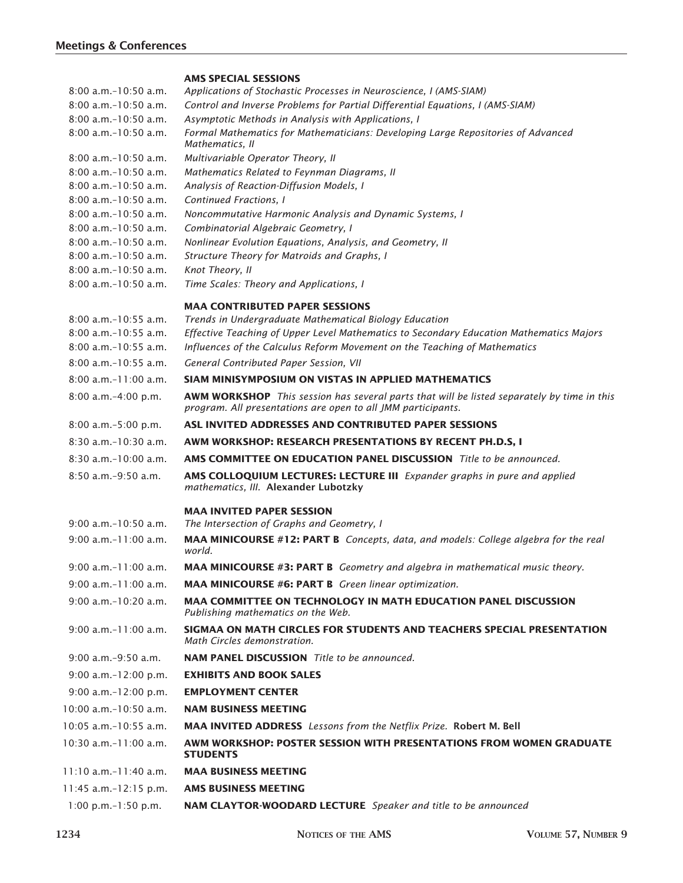#### **AMS SPECIAL SESSIONS**

| 8:00 a.m. - 10:50 a.m.     | Applications of Stochastic Processes in Neuroscience, I (AMS-SIAM)                                                                                                |
|----------------------------|-------------------------------------------------------------------------------------------------------------------------------------------------------------------|
| $8:00$ a.m. $-10:50$ a.m.  | Control and Inverse Problems for Partial Differential Equations, I (AMS-SIAM)                                                                                     |
| 8:00 a.m.-10:50 a.m.       | Asymptotic Methods in Analysis with Applications, I                                                                                                               |
| 8:00 a.m.-10:50 a.m.       | Formal Mathematics for Mathematicians: Developing Large Repositories of Advanced<br>Mathematics, II                                                               |
| $8:00$ a.m. $-10:50$ a.m.  | Multivariable Operator Theory, II                                                                                                                                 |
| 8:00 a.m.-10:50 a.m.       | Mathematics Related to Feynman Diagrams, II                                                                                                                       |
| 8:00 a.m. - 10:50 a.m.     | Analysis of Reaction-Diffusion Models, I                                                                                                                          |
| $8:00$ a.m. $-10:50$ a.m.  | Continued Fractions, I                                                                                                                                            |
| $8:00$ a.m. $-10:50$ a.m.  | Noncommutative Harmonic Analysis and Dynamic Systems, I                                                                                                           |
| 8:00 a.m. - 10:50 a.m.     | Combinatorial Algebraic Geometry, I                                                                                                                               |
| $8:00$ a.m. $-10:50$ a.m.  | Nonlinear Evolution Equations, Analysis, and Geometry, II                                                                                                         |
| 8:00 a.m.-10:50 a.m.       | Structure Theory for Matroids and Graphs, I                                                                                                                       |
| 8:00 a.m.-10:50 a.m.       | Knot Theory, II                                                                                                                                                   |
| 8:00 a.m.-10:50 a.m.       | Time Scales: Theory and Applications, I                                                                                                                           |
|                            | <b>MAA CONTRIBUTED PAPER SESSIONS</b>                                                                                                                             |
| $8:00$ a.m. $-10:55$ a.m.  | Trends in Undergraduate Mathematical Biology Education                                                                                                            |
| $8:00$ a.m. $-10:55$ a.m.  | Effective Teaching of Upper Level Mathematics to Secondary Education Mathematics Majors                                                                           |
| $8:00$ a.m. $-10:55$ a.m.  | Influences of the Calculus Reform Movement on the Teaching of Mathematics                                                                                         |
| $8:00$ a.m. $-10:55$ a.m.  | General Contributed Paper Session, VII                                                                                                                            |
| $8:00 a.m.-11:00 a.m.$     | SIAM MINISYMPOSIUM ON VISTAS IN APPLIED MATHEMATICS                                                                                                               |
| 8:00 a.m.-4:00 p.m.        | <b>AWM WORKSHOP</b> This session has several parts that will be listed separately by time in this<br>program. All presentations are open to all JMM participants. |
| $8:00$ a.m. $-5:00$ p.m.   | ASL INVITED ADDRESSES AND CONTRIBUTED PAPER SESSIONS                                                                                                              |
| $8:30$ a.m. $-10:30$ a.m.  | AWM WORKSHOP: RESEARCH PRESENTATIONS BY RECENT PH.D.S, I                                                                                                          |
| 8:30 a.m.-10:00 a.m.       | <b>AMS COMMITTEE ON EDUCATION PANEL DISCUSSION</b> Title to be announced.                                                                                         |
| $8:50$ a.m. $-9:50$ a.m.   | AMS COLLOQUIUM LECTURES: LECTURE III Expander graphs in pure and applied<br>mathematics, III. Alexander Lubotzky                                                  |
|                            | <b>MAA INVITED PAPER SESSION</b>                                                                                                                                  |
| $9:00$ a.m. $-10:50$ a.m.  | The Intersection of Graphs and Geometry, I                                                                                                                        |
| 9:00 a.m.-11:00 a.m.       | MAA MINICOURSE #12: PART B Concepts, data, and models: College algebra for the real<br>world.                                                                     |
| 9:00 a.m.-11:00 a.m.       | <b>MAA MINICOURSE #3: PART B</b> Geometry and algebra in mathematical music theory.                                                                               |
| $9:00$ a.m. $-11:00$ a.m.  | MAA MINICOURSE #6: PART B Green linear optimization.                                                                                                              |
| $9:00$ a.m. $-10:20$ a.m.  | <b>MAA COMMITTEE ON TECHNOLOGY IN MATH EDUCATION PANEL DISCUSSION</b><br>Publishing mathematics on the Web.                                                       |
| $9:00$ a.m. $-11:00$ a.m.  | SIGMAA ON MATH CIRCLES FOR STUDENTS AND TEACHERS SPECIAL PRESENTATION<br>Math Circles demonstration.                                                              |
| 9:00 a.m.-9:50 a.m.        | <b>NAM PANEL DISCUSSION</b> Title to be announced.                                                                                                                |
| $9:00$ a.m. $-12:00$ p.m.  | <b>EXHIBITS AND BOOK SALES</b>                                                                                                                                    |
| $9:00$ a.m. $-12:00$ p.m.  | <b>EMPLOYMENT CENTER</b>                                                                                                                                          |
| $10:00$ a.m. $-10:50$ a.m. | <b>NAM BUSINESS MEETING</b>                                                                                                                                       |
| $10:05$ a.m. $-10:55$ a.m. | <b>MAA INVITED ADDRESS</b> Lessons from the Netflix Prize. Robert M. Bell                                                                                         |
| $10:30$ a.m. $-11:00$ a.m. | AWM WORKSHOP: POSTER SESSION WITH PRESENTATIONS FROM WOMEN GRADUATE<br><b>STUDENTS</b>                                                                            |
| $11:10$ a.m.-11:40 a.m.    | <b>MAA BUSINESS MEETING</b>                                                                                                                                       |
| 11:45 a.m.-12:15 p.m.      | <b>AMS BUSINESS MEETING</b>                                                                                                                                       |
| 1:00 p.m.-1:50 p.m.        | NAM CLAYTOR-WOODARD LECTURE Speaker and title to be announced                                                                                                     |
|                            |                                                                                                                                                                   |